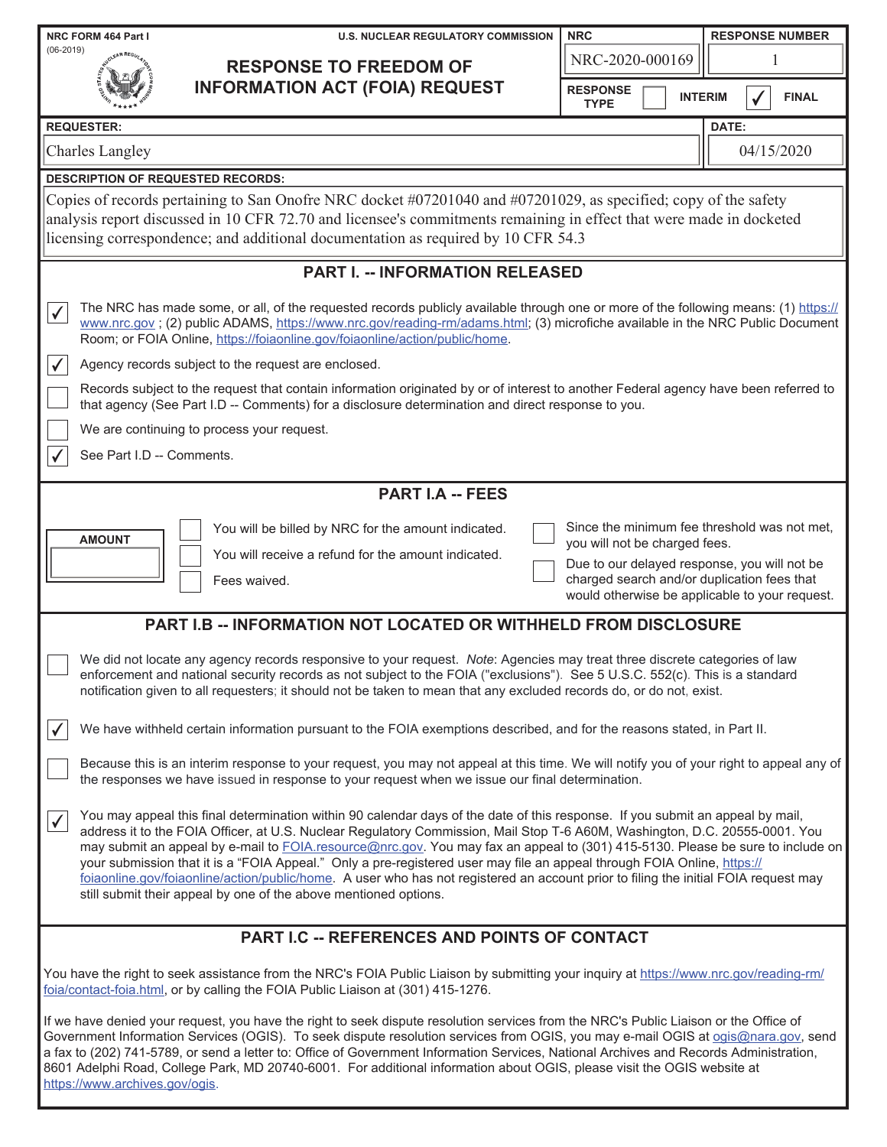| NRC FORM 464 Part I                                                                                                                                                                                                                                                                                                                                                                                                                                                                                                                                                                                                                                                                                                                                   | <b>U.S. NUCLEAR REGULATORY COMMISSION</b>                                                                                                                                                                                                                                                                                                           | <b>NRC</b>                                                                                                                                                                                                                     | <b>RESPONSE NUMBER</b> |  |  |  |
|-------------------------------------------------------------------------------------------------------------------------------------------------------------------------------------------------------------------------------------------------------------------------------------------------------------------------------------------------------------------------------------------------------------------------------------------------------------------------------------------------------------------------------------------------------------------------------------------------------------------------------------------------------------------------------------------------------------------------------------------------------|-----------------------------------------------------------------------------------------------------------------------------------------------------------------------------------------------------------------------------------------------------------------------------------------------------------------------------------------------------|--------------------------------------------------------------------------------------------------------------------------------------------------------------------------------------------------------------------------------|------------------------|--|--|--|
| $(06 - 2019)$<br><b>RESPONSE TO FREEDOM OF</b>                                                                                                                                                                                                                                                                                                                                                                                                                                                                                                                                                                                                                                                                                                        |                                                                                                                                                                                                                                                                                                                                                     | NRC-2020-000169                                                                                                                                                                                                                |                        |  |  |  |
|                                                                                                                                                                                                                                                                                                                                                                                                                                                                                                                                                                                                                                                                                                                                                       | <b>INFORMATION ACT (FOIA) REQUEST</b>                                                                                                                                                                                                                                                                                                               | <b>RESPONSE</b><br><b>INTERIM</b><br><b>TYPE</b>                                                                                                                                                                               | <b>FINAL</b>           |  |  |  |
| <b>REQUESTER:</b>                                                                                                                                                                                                                                                                                                                                                                                                                                                                                                                                                                                                                                                                                                                                     |                                                                                                                                                                                                                                                                                                                                                     |                                                                                                                                                                                                                                | DATE:                  |  |  |  |
| <b>Charles Langley</b>                                                                                                                                                                                                                                                                                                                                                                                                                                                                                                                                                                                                                                                                                                                                |                                                                                                                                                                                                                                                                                                                                                     |                                                                                                                                                                                                                                | 04/15/2020             |  |  |  |
| <b>DESCRIPTION OF REQUESTED RECORDS:</b>                                                                                                                                                                                                                                                                                                                                                                                                                                                                                                                                                                                                                                                                                                              |                                                                                                                                                                                                                                                                                                                                                     |                                                                                                                                                                                                                                |                        |  |  |  |
|                                                                                                                                                                                                                                                                                                                                                                                                                                                                                                                                                                                                                                                                                                                                                       | Copies of records pertaining to San Onofre NRC docket #07201040 and #07201029, as specified; copy of the safety<br>analysis report discussed in 10 CFR 72.70 and licensee's commitments remaining in effect that were made in docketed<br>licensing correspondence; and additional documentation as required by 10 CFR 54.3                         |                                                                                                                                                                                                                                |                        |  |  |  |
|                                                                                                                                                                                                                                                                                                                                                                                                                                                                                                                                                                                                                                                                                                                                                       | <b>PART I. -- INFORMATION RELEASED</b>                                                                                                                                                                                                                                                                                                              |                                                                                                                                                                                                                                |                        |  |  |  |
| $\checkmark$                                                                                                                                                                                                                                                                                                                                                                                                                                                                                                                                                                                                                                                                                                                                          | The NRC has made some, or all, of the requested records publicly available through one or more of the following means: (1) https://<br>www.nrc.gov; (2) public ADAMS, https://www.nrc.gov/reading-rm/adams.html; (3) microfiche available in the NRC Public Document<br>Room; or FOIA Online, https://foiaonline.gov/foiaonline/action/public/home. |                                                                                                                                                                                                                                |                        |  |  |  |
| $\checkmark$                                                                                                                                                                                                                                                                                                                                                                                                                                                                                                                                                                                                                                                                                                                                          | Agency records subject to the request are enclosed.                                                                                                                                                                                                                                                                                                 |                                                                                                                                                                                                                                |                        |  |  |  |
|                                                                                                                                                                                                                                                                                                                                                                                                                                                                                                                                                                                                                                                                                                                                                       | Records subject to the request that contain information originated by or of interest to another Federal agency have been referred to<br>that agency (See Part I.D -- Comments) for a disclosure determination and direct response to you.                                                                                                           |                                                                                                                                                                                                                                |                        |  |  |  |
|                                                                                                                                                                                                                                                                                                                                                                                                                                                                                                                                                                                                                                                                                                                                                       | We are continuing to process your request.                                                                                                                                                                                                                                                                                                          |                                                                                                                                                                                                                                |                        |  |  |  |
| See Part I.D -- Comments.                                                                                                                                                                                                                                                                                                                                                                                                                                                                                                                                                                                                                                                                                                                             |                                                                                                                                                                                                                                                                                                                                                     |                                                                                                                                                                                                                                |                        |  |  |  |
|                                                                                                                                                                                                                                                                                                                                                                                                                                                                                                                                                                                                                                                                                                                                                       | <b>PART I.A -- FEES</b>                                                                                                                                                                                                                                                                                                                             |                                                                                                                                                                                                                                |                        |  |  |  |
| <b>AMOUNT</b>                                                                                                                                                                                                                                                                                                                                                                                                                                                                                                                                                                                                                                                                                                                                         | You will be billed by NRC for the amount indicated.<br>You will receive a refund for the amount indicated.<br>Fees waived.                                                                                                                                                                                                                          | Since the minimum fee threshold was not met,<br>you will not be charged fees.<br>Due to our delayed response, you will not be<br>charged search and/or duplication fees that<br>would otherwise be applicable to your request. |                        |  |  |  |
|                                                                                                                                                                                                                                                                                                                                                                                                                                                                                                                                                                                                                                                                                                                                                       | PART I.B -- INFORMATION NOT LOCATED OR WITHHELD FROM DISCLOSURE                                                                                                                                                                                                                                                                                     |                                                                                                                                                                                                                                |                        |  |  |  |
| We did not locate any agency records responsive to your request. Note: Agencies may treat three discrete categories of law<br>enforcement and national security records as not subject to the FOIA ("exclusions"). See 5 U.S.C. 552(c). This is a standard<br>notification given to all requesters; it should not be taken to mean that any excluded records do, or do not, exist.                                                                                                                                                                                                                                                                                                                                                                    |                                                                                                                                                                                                                                                                                                                                                     |                                                                                                                                                                                                                                |                        |  |  |  |
| $\checkmark$                                                                                                                                                                                                                                                                                                                                                                                                                                                                                                                                                                                                                                                                                                                                          | We have withheld certain information pursuant to the FOIA exemptions described, and for the reasons stated, in Part II.                                                                                                                                                                                                                             |                                                                                                                                                                                                                                |                        |  |  |  |
| Because this is an interim response to your request, you may not appeal at this time. We will notify you of your right to appeal any of<br>the responses we have issued in response to your request when we issue our final determination.                                                                                                                                                                                                                                                                                                                                                                                                                                                                                                            |                                                                                                                                                                                                                                                                                                                                                     |                                                                                                                                                                                                                                |                        |  |  |  |
| You may appeal this final determination within 90 calendar days of the date of this response. If you submit an appeal by mail,<br>$\checkmark$<br>address it to the FOIA Officer, at U.S. Nuclear Regulatory Commission, Mail Stop T-6 A60M, Washington, D.C. 20555-0001. You<br>may submit an appeal by e-mail to FOIA.resource@nrc.gov. You may fax an appeal to (301) 415-5130. Please be sure to include on<br>your submission that it is a "FOIA Appeal." Only a pre-registered user may file an appeal through FOIA Online, https://<br>foiaonline.gov/foiaonline/action/public/home. A user who has not registered an account prior to filing the initial FOIA request may<br>still submit their appeal by one of the above mentioned options. |                                                                                                                                                                                                                                                                                                                                                     |                                                                                                                                                                                                                                |                        |  |  |  |
| PART I.C -- REFERENCES AND POINTS OF CONTACT                                                                                                                                                                                                                                                                                                                                                                                                                                                                                                                                                                                                                                                                                                          |                                                                                                                                                                                                                                                                                                                                                     |                                                                                                                                                                                                                                |                        |  |  |  |
| You have the right to seek assistance from the NRC's FOIA Public Liaison by submitting your inquiry at https://www.nrc.gov/reading-rm/<br>foia/contact-foia.html, or by calling the FOIA Public Liaison at (301) 415-1276.                                                                                                                                                                                                                                                                                                                                                                                                                                                                                                                            |                                                                                                                                                                                                                                                                                                                                                     |                                                                                                                                                                                                                                |                        |  |  |  |
| If we have denied your request, you have the right to seek dispute resolution services from the NRC's Public Liaison or the Office of<br>Government Information Services (OGIS). To seek dispute resolution services from OGIS, you may e-mail OGIS at ogis@nara.gov, send<br>a fax to (202) 741-5789, or send a letter to: Office of Government Information Services, National Archives and Records Administration,<br>8601 Adelphi Road, College Park, MD 20740-6001. For additional information about OGIS, please visit the OGIS website at<br>https://www.archives.gov/ogis.                                                                                                                                                                     |                                                                                                                                                                                                                                                                                                                                                     |                                                                                                                                                                                                                                |                        |  |  |  |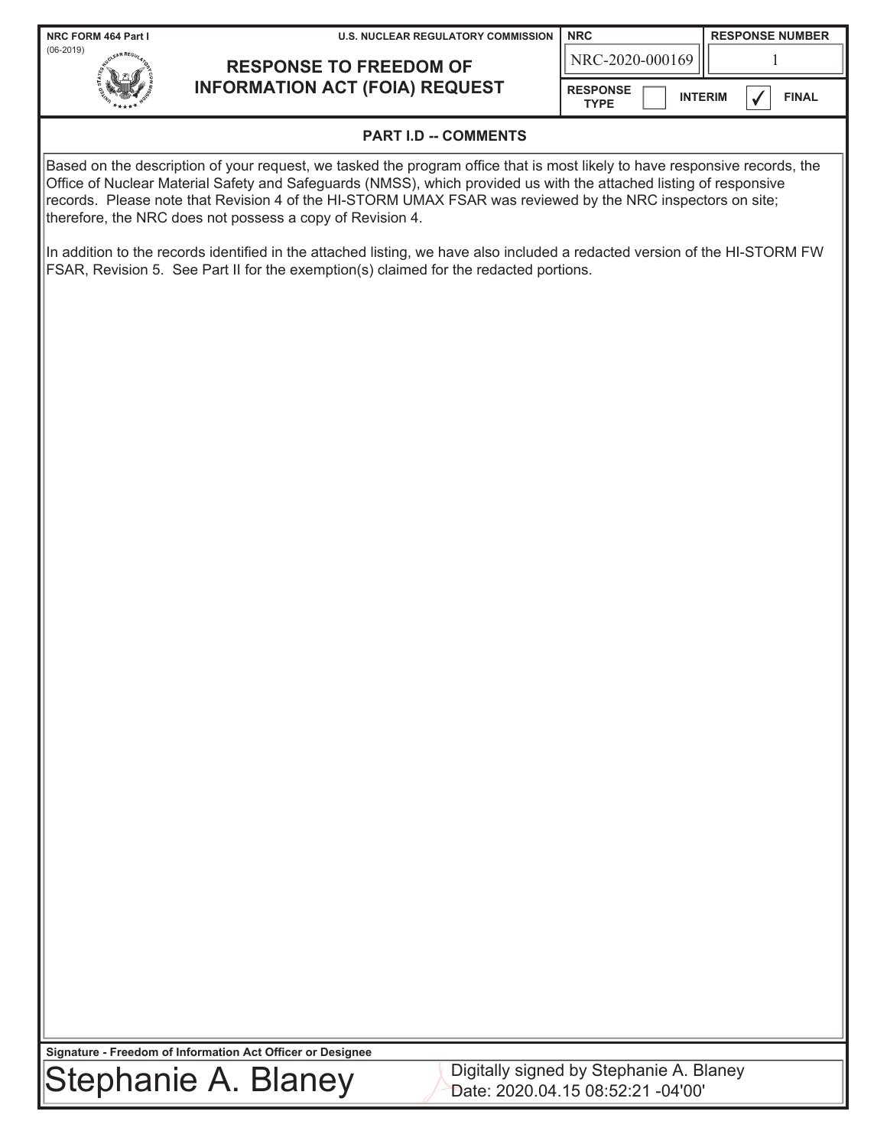| NRC FORM 464 Part I                                                                                                                                                                                                                                                                                                                                                                                                         | <b>U.S. NUCLEAR REGULATORY COMMISSION</b>                                                                                                                                                                           | <b>NRC</b>                     |  |                | <b>RESPONSE NUMBER</b> |  |
|-----------------------------------------------------------------------------------------------------------------------------------------------------------------------------------------------------------------------------------------------------------------------------------------------------------------------------------------------------------------------------------------------------------------------------|---------------------------------------------------------------------------------------------------------------------------------------------------------------------------------------------------------------------|--------------------------------|--|----------------|------------------------|--|
| $(06-2019)$<br><b>RESPONSE TO FREEDOM OF</b>                                                                                                                                                                                                                                                                                                                                                                                |                                                                                                                                                                                                                     | NRC-2020-000169                |  | 1              |                        |  |
|                                                                                                                                                                                                                                                                                                                                                                                                                             | <b>INFORMATION ACT (FOIA) REQUEST</b>                                                                                                                                                                               | <b>RESPONSE</b><br><b>TYPE</b> |  | <b>INTERIM</b> | <b>FINAL</b>           |  |
|                                                                                                                                                                                                                                                                                                                                                                                                                             | <b>PART I.D -- COMMENTS</b>                                                                                                                                                                                         |                                |  |                |                        |  |
| Based on the description of your request, we tasked the program office that is most likely to have responsive records, the<br>Office of Nuclear Material Safety and Safeguards (NMSS), which provided us with the attached listing of responsive<br>records. Please note that Revision 4 of the HI-STORM UMAX FSAR was reviewed by the NRC inspectors on site;<br>therefore, the NRC does not possess a copy of Revision 4. |                                                                                                                                                                                                                     |                                |  |                |                        |  |
|                                                                                                                                                                                                                                                                                                                                                                                                                             | In addition to the records identified in the attached listing, we have also included a redacted version of the HI-STORM FW<br>FSAR, Revision 5. See Part II for the exemption(s) claimed for the redacted portions. |                                |  |                |                        |  |
|                                                                                                                                                                                                                                                                                                                                                                                                                             |                                                                                                                                                                                                                     |                                |  |                |                        |  |
|                                                                                                                                                                                                                                                                                                                                                                                                                             |                                                                                                                                                                                                                     |                                |  |                |                        |  |
|                                                                                                                                                                                                                                                                                                                                                                                                                             |                                                                                                                                                                                                                     |                                |  |                |                        |  |
|                                                                                                                                                                                                                                                                                                                                                                                                                             |                                                                                                                                                                                                                     |                                |  |                |                        |  |
|                                                                                                                                                                                                                                                                                                                                                                                                                             |                                                                                                                                                                                                                     |                                |  |                |                        |  |
|                                                                                                                                                                                                                                                                                                                                                                                                                             |                                                                                                                                                                                                                     |                                |  |                |                        |  |
|                                                                                                                                                                                                                                                                                                                                                                                                                             |                                                                                                                                                                                                                     |                                |  |                |                        |  |
|                                                                                                                                                                                                                                                                                                                                                                                                                             |                                                                                                                                                                                                                     |                                |  |                |                        |  |
|                                                                                                                                                                                                                                                                                                                                                                                                                             |                                                                                                                                                                                                                     |                                |  |                |                        |  |
|                                                                                                                                                                                                                                                                                                                                                                                                                             |                                                                                                                                                                                                                     |                                |  |                |                        |  |
|                                                                                                                                                                                                                                                                                                                                                                                                                             |                                                                                                                                                                                                                     |                                |  |                |                        |  |
|                                                                                                                                                                                                                                                                                                                                                                                                                             |                                                                                                                                                                                                                     |                                |  |                |                        |  |
|                                                                                                                                                                                                                                                                                                                                                                                                                             |                                                                                                                                                                                                                     |                                |  |                |                        |  |
|                                                                                                                                                                                                                                                                                                                                                                                                                             |                                                                                                                                                                                                                     |                                |  |                |                        |  |
|                                                                                                                                                                                                                                                                                                                                                                                                                             |                                                                                                                                                                                                                     |                                |  |                |                        |  |
|                                                                                                                                                                                                                                                                                                                                                                                                                             |                                                                                                                                                                                                                     |                                |  |                |                        |  |
|                                                                                                                                                                                                                                                                                                                                                                                                                             |                                                                                                                                                                                                                     |                                |  |                |                        |  |
|                                                                                                                                                                                                                                                                                                                                                                                                                             |                                                                                                                                                                                                                     |                                |  |                |                        |  |
| Signature - Freedom of Information Act Officer or Designee                                                                                                                                                                                                                                                                                                                                                                  |                                                                                                                                                                                                                     |                                |  |                |                        |  |

Stephanie A. Blaney Digitally signed by Stephanie A. Blaney Date: 2020.04.15 08:52:21 -04'00'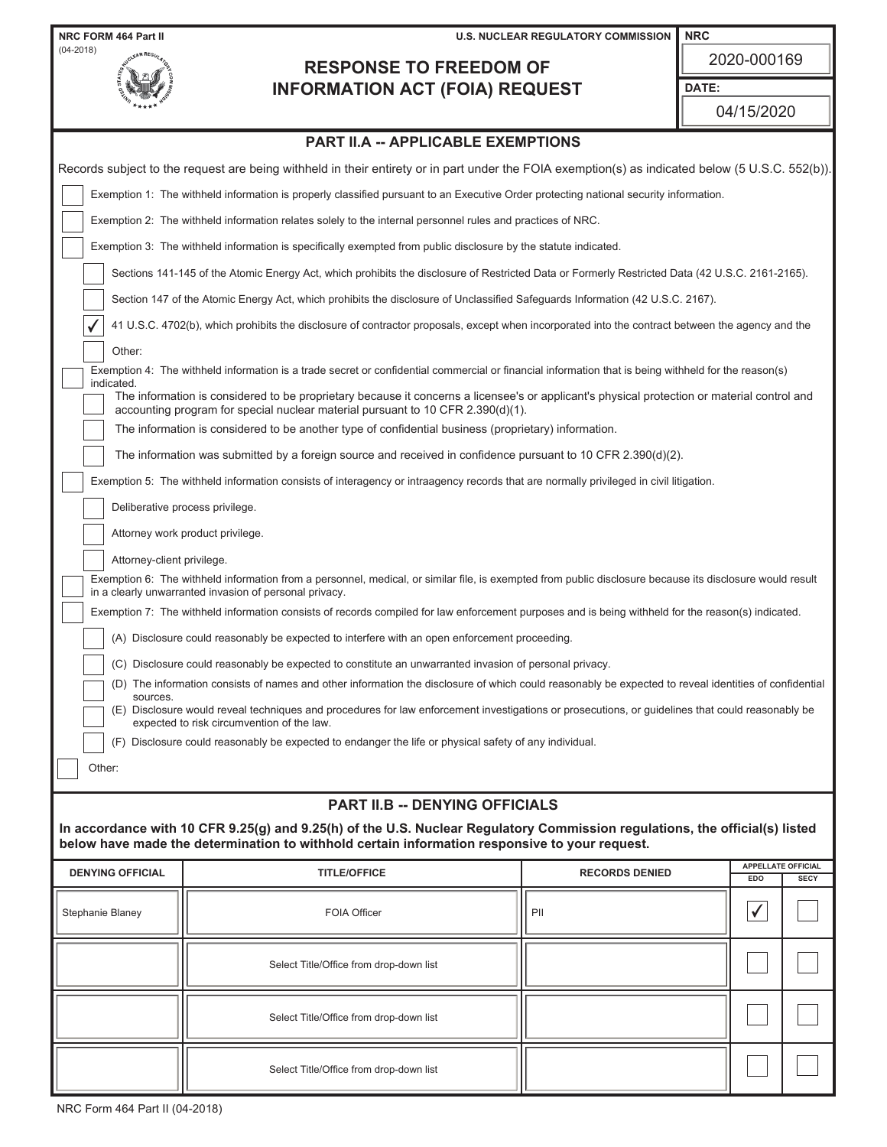| NRC FORM 464 Part II                           | <b>U.S. NUCLEAR REGULATORY COMMISSION</b>                                                                                                                                                                                      |                       | <b>NRC</b>   |                                          |  |  |  |  |
|------------------------------------------------|--------------------------------------------------------------------------------------------------------------------------------------------------------------------------------------------------------------------------------|-----------------------|--------------|------------------------------------------|--|--|--|--|
| $(04 - 2018)$<br><b>RESPONSE TO FREEDOM OF</b> |                                                                                                                                                                                                                                |                       | 2020-000169  |                                          |  |  |  |  |
|                                                | <b>INFORMATION ACT (FOIA) REQUEST</b>                                                                                                                                                                                          |                       | DATE:        |                                          |  |  |  |  |
|                                                |                                                                                                                                                                                                                                |                       | 04/15/2020   |                                          |  |  |  |  |
| <b>PART II.A -- APPLICABLE EXEMPTIONS</b>      |                                                                                                                                                                                                                                |                       |              |                                          |  |  |  |  |
|                                                | Records subject to the request are being withheld in their entirety or in part under the FOIA exemption(s) as indicated below (5 U.S.C. 552(b)).                                                                               |                       |              |                                          |  |  |  |  |
|                                                | Exemption 1: The withheld information is properly classified pursuant to an Executive Order protecting national security information.                                                                                          |                       |              |                                          |  |  |  |  |
|                                                | Exemption 2: The withheld information relates solely to the internal personnel rules and practices of NRC.                                                                                                                     |                       |              |                                          |  |  |  |  |
|                                                | Exemption 3: The withheld information is specifically exempted from public disclosure by the statute indicated.                                                                                                                |                       |              |                                          |  |  |  |  |
|                                                | Sections 141-145 of the Atomic Energy Act, which prohibits the disclosure of Restricted Data or Formerly Restricted Data (42 U.S.C. 2161-2165).                                                                                |                       |              |                                          |  |  |  |  |
|                                                | Section 147 of the Atomic Energy Act, which prohibits the disclosure of Unclassified Safeguards Information (42 U.S.C. 2167).                                                                                                  |                       |              |                                          |  |  |  |  |
|                                                | 41 U.S.C. 4702(b), which prohibits the disclosure of contractor proposals, except when incorporated into the contract between the agency and the                                                                               |                       |              |                                          |  |  |  |  |
| Other:                                         |                                                                                                                                                                                                                                |                       |              |                                          |  |  |  |  |
| indicated.                                     | Exemption 4: The withheld information is a trade secret or confidential commercial or financial information that is being withheld for the reason(s)                                                                           |                       |              |                                          |  |  |  |  |
|                                                | The information is considered to be proprietary because it concerns a licensee's or applicant's physical protection or material control and<br>accounting program for special nuclear material pursuant to 10 CFR 2.390(d)(1). |                       |              |                                          |  |  |  |  |
|                                                | The information is considered to be another type of confidential business (proprietary) information.                                                                                                                           |                       |              |                                          |  |  |  |  |
|                                                | The information was submitted by a foreign source and received in confidence pursuant to 10 CFR 2.390(d)(2).                                                                                                                   |                       |              |                                          |  |  |  |  |
|                                                | Exemption 5: The withheld information consists of interagency or intraagency records that are normally privileged in civil litigation.                                                                                         |                       |              |                                          |  |  |  |  |
|                                                | Deliberative process privilege.                                                                                                                                                                                                |                       |              |                                          |  |  |  |  |
|                                                | Attorney work product privilege.                                                                                                                                                                                               |                       |              |                                          |  |  |  |  |
| Attorney-client privilege.                     |                                                                                                                                                                                                                                |                       |              |                                          |  |  |  |  |
|                                                | Exemption 6: The withheld information from a personnel, medical, or similar file, is exempted from public disclosure because its disclosure would result<br>in a clearly unwarranted invasion of personal privacy.             |                       |              |                                          |  |  |  |  |
|                                                | Exemption 7: The withheld information consists of records compiled for law enforcement purposes and is being withheld for the reason(s) indicated.                                                                             |                       |              |                                          |  |  |  |  |
|                                                | (A) Disclosure could reasonably be expected to interfere with an open enforcement proceeding.                                                                                                                                  |                       |              |                                          |  |  |  |  |
|                                                | (C) Disclosure could reasonably be expected to constitute an unwarranted invasion of personal privacy.                                                                                                                         |                       |              |                                          |  |  |  |  |
| sources.                                       | (D) The information consists of names and other information the disclosure of which could reasonably be expected to reveal identities of confidential                                                                          |                       |              |                                          |  |  |  |  |
|                                                | (E) Disclosure would reveal techniques and procedures for law enforcement investigations or prosecutions, or guidelines that could reasonably be<br>expected to risk circumvention of the law.                                 |                       |              |                                          |  |  |  |  |
| (F)                                            | Disclosure could reasonably be expected to endanger the life or physical safety of any individual.                                                                                                                             |                       |              |                                          |  |  |  |  |
| Other:                                         |                                                                                                                                                                                                                                |                       |              |                                          |  |  |  |  |
|                                                | <b>PART II.B -- DENYING OFFICIALS</b>                                                                                                                                                                                          |                       |              |                                          |  |  |  |  |
|                                                | In accordance with 10 CFR 9.25(g) and 9.25(h) of the U.S. Nuclear Regulatory Commission regulations, the official(s) listed<br>below have made the determination to withhold certain information responsive to your request.   |                       |              |                                          |  |  |  |  |
| <b>DENYING OFFICIAL</b>                        | <b>TITLE/OFFICE</b>                                                                                                                                                                                                            | <b>RECORDS DENIED</b> | EDO          | <b>APPELLATE OFFICIAL</b><br><b>SECY</b> |  |  |  |  |
| Stephanie Blaney                               | <b>FOIA Officer</b>                                                                                                                                                                                                            | PII                   | $\checkmark$ |                                          |  |  |  |  |
|                                                |                                                                                                                                                                                                                                |                       |              |                                          |  |  |  |  |
|                                                | Select Title/Office from drop-down list                                                                                                                                                                                        |                       |              |                                          |  |  |  |  |
|                                                |                                                                                                                                                                                                                                |                       |              |                                          |  |  |  |  |
|                                                | Select Title/Office from drop-down list                                                                                                                                                                                        |                       |              |                                          |  |  |  |  |
|                                                | Select Title/Office from drop-down list                                                                                                                                                                                        |                       |              |                                          |  |  |  |  |